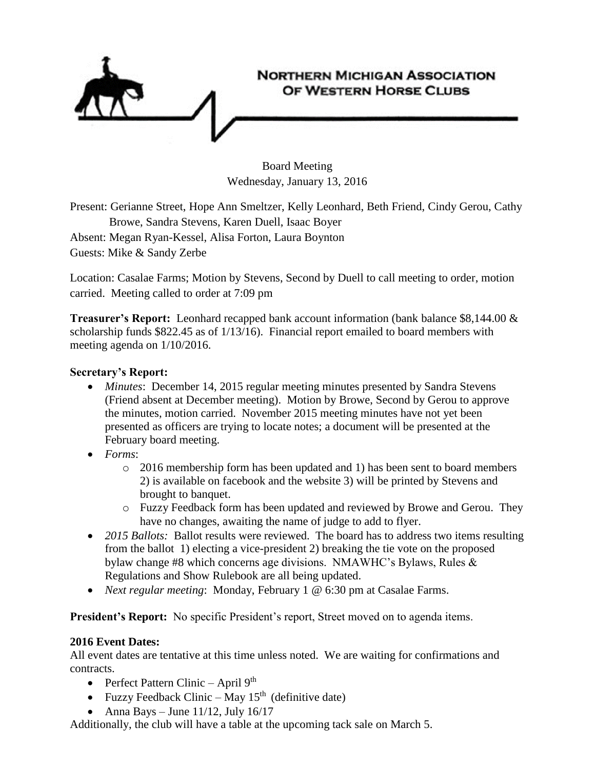

Board Meeting Wednesday, January 13, 2016

Present: Gerianne Street, Hope Ann Smeltzer, Kelly Leonhard, Beth Friend, Cindy Gerou, Cathy Browe, Sandra Stevens, Karen Duell, Isaac Boyer Absent: Megan Ryan-Kessel, Alisa Forton, Laura Boynton Guests: Mike & Sandy Zerbe

Location: Casalae Farms; Motion by Stevens, Second by Duell to call meeting to order, motion carried. Meeting called to order at 7:09 pm

**Treasurer's Report:** Leonhard recapped bank account information (bank balance \$8,144.00 & scholarship funds \$822.45 as of 1/13/16). Financial report emailed to board members with meeting agenda on 1/10/2016.

## **Secretary's Report:**

- *Minutes*: December 14, 2015 regular meeting minutes presented by Sandra Stevens (Friend absent at December meeting). Motion by Browe, Second by Gerou to approve the minutes, motion carried. November 2015 meeting minutes have not yet been presented as officers are trying to locate notes; a document will be presented at the February board meeting.
- *Forms*:
	- o 2016 membership form has been updated and 1) has been sent to board members 2) is available on facebook and the website 3) will be printed by Stevens and brought to banquet.
	- o Fuzzy Feedback form has been updated and reviewed by Browe and Gerou. They have no changes, awaiting the name of judge to add to flyer.
- 2015 Ballots: Ballot results were reviewed. The board has to address two items resulting from the ballot 1) electing a vice-president 2) breaking the tie vote on the proposed bylaw change #8 which concerns age divisions. NMAWHC's Bylaws, Rules  $\&$ Regulations and Show Rulebook are all being updated.
- *Next regular meeting*: Monday, February 1 @ 6:30 pm at Casalae Farms.

**President's Report:** No specific President's report, Street moved on to agenda items.

## **2016 Event Dates:**

All event dates are tentative at this time unless noted. We are waiting for confirmations and contracts.

- Perfect Pattern Clinic April  $9<sup>th</sup>$
- Fuzzy Feedback Clinic May  $15<sup>th</sup>$  (definitive date)
- Anna Bays June 11/12, July 16/17

Additionally, the club will have a table at the upcoming tack sale on March 5.